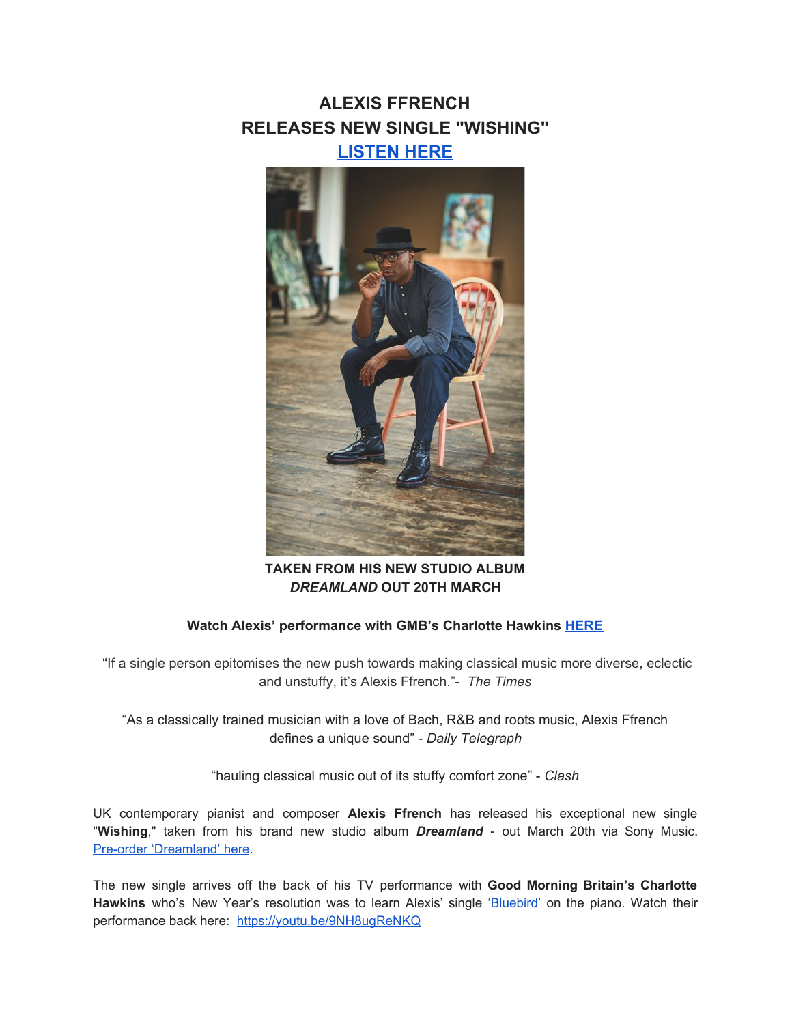## **ALEXIS FFRENCH RELEASES NEW SINGLE "WISHING" [LISTEN HERE](https://u7061146.ct.sendgrid.net/wf/click?upn=G62jSYfZdO-2F12d8lSllQB63N42ll86576eQ0S9Gr6-2FpysDAbWVXySry-2F5HImu8Zi_DruDjhchMBr5xQkz3h1qcOnjZc-2BCsAVhraQ7DxYhbA2-2BHLQf-2BHKWaWi2FTM7QHo-2Fd7eCMDRMAhfd2mcWSs-2FpzNW9MmuPwV7rH-2FbDd7DdSSY2DqOz21sMRZmqfWdF4vPb6zlJ3AZZOZix9YHjcD8Zz-2BEUtEzSxfRmVOTnzpC5PaLQ7qgDzSmX0I7KC-2BrdB-2FXKfT1jWYGKGrHgMLGPmOf1FUwp0lUpeDTQgdzm-2FSJn4GMOD-2FTaJz1q1ul1baqaWoj71Vo1aLfq2PEWBorvDuLXB9lNifpBv0W6Bz06ftMabNaBCRn2ORoC8QwuiKbhmgLaKFluMdjK6sJy78W1pEemLIhaioMBLJdGd51dpia6jso-3D)**



**TAKEN FROM HIS NEW STUDIO ALBUM** *DREAMLAND* **OUT 20TH MARCH**

## **Watch Alexis' performance with GMB's Charlotte Hawkins [HERE](https://u7061146.ct.sendgrid.net/wf/click?upn=G62jSYfZdO-2F12d8lSllQBzPINRfFM6fh0-2BqyrFsBmbmc4bljhTNAyYLtfj-2BMt-2BYf_DruDjhchMBr5xQkz3h1qcOnjZc-2BCsAVhraQ7DxYhbA2-2BHLQf-2BHKWaWi2FTM7QHo-2Fd7eCMDRMAhfd2mcWSs-2FpzNW9MmuPwV7rH-2FbDd7DdSSY2DqOz21sMRZmqfWdF4vPb6zlJ3AZZOZix9YHjcD8Zz-2BEUtEzSxfRmVOTnzpC5PaLQ7qgDzSmX0I7KC-2BrdB-2FXKfT1jWYGKGrHgMLGPmOf1FU0X3pe26NiIc56MZY-2FEgvjjTOOo-2FCulIZjh5YYb7h3oJO3CaFQ-2BTU1xSQ3nFTJtXW0rcQOxHRRu3F0lq8Uk0nppVSYqAwarS51LEQBISoGnpx3CjUar4X17s6KOWwKZSBJsDV5iRFvLYWaAfHtXxrQ-3D)**

 "If a single person epitomises the new push towards making classical music more diverse, eclectic and unstuffy, it's Alexis Ffrench."- *The Times*

"As a classically trained musician with a love of Bach, R&B and roots music, Alexis Ffrench defines a unique sound" - *Daily Telegraph*

"hauling classical music out of its stuffy comfort zone" - *Clash*

UK contemporary pianist and composer **Alexis Ffrench** has released his exceptional new single "**Wishing**," taken from his brand new studio album *Dreamland* - out March 20th via Sony Music. Pre-order ['Dreamland'](https://u7061146.ct.sendgrid.net/wf/click?upn=G62jSYfZdO-2F12d8lSllQB63N42ll86576eQ0S9Gr6-2FpysDAbWVXySry-2F5HImu8Zi_DruDjhchMBr5xQkz3h1qcOnjZc-2BCsAVhraQ7DxYhbA2-2BHLQf-2BHKWaWi2FTM7QHo-2Fd7eCMDRMAhfd2mcWSs-2FpzNW9MmuPwV7rH-2FbDd7DdSSY2DqOz21sMRZmqfWdF4vPb6zlJ3AZZOZix9YHjcD8Zz-2BEUtEzSxfRmVOTnzpC5PaLQ7qgDzSmX0I7KC-2BrdB-2FXKfT1jWYGKGrHgMLGPmOf1FUksVuVUMIoGUnIztDvVsfrZssL8-2B5-2FJh3yUMpuIWi6raxxpUvTYTfOpJl9C9-2FvqVvaeCQGN-2FpRRuhKljL-2FvORWHsYlUc1nu8l5ZJVGkMUNzxAS4p9Az-2B0xbzM5-2BuUg-2ByZRw5hio-2FDJCMThOFY92UIo-3D) here.

The new single arrives off the back of his TV performance with **Good Morning Britain's Charlotte** Hawkins who's New Year's resolution was to learn Alexis' single '[Bluebird](https://u7061146.ct.sendgrid.net/wf/click?upn=G62jSYfZdO-2F12d8lSllQB8Py45Kv8f-2BYRfyH7N0ZolO5ckVbXoNLTCfvNnD9jVzEJTfQpLxJBQvempHyQiJ1CQ-3D-3D_DruDjhchMBr5xQkz3h1qcOnjZc-2BCsAVhraQ7DxYhbA2-2BHLQf-2BHKWaWi2FTM7QHo-2Fd7eCMDRMAhfd2mcWSs-2FpzNW9MmuPwV7rH-2FbDd7DdSSY2DqOz21sMRZmqfWdF4vPb6zlJ3AZZOZix9YHjcD8Zz-2BEUtEzSxfRmVOTnzpC5PaLQ7qgDzSmX0I7KC-2BrdB-2FXKfT1jWYGKGrHgMLGPmOf1FcIT0VyS5-2BjnY40KwqdDYQZuii611x5oGM62eKecgsbhxYhFaIE-2FUg2EJyRRSyzQfaktWqmHUQUCCj-2FfmQq6HfhSsx8-2Flu15AfJduUOqkaAun3LjfAEnsMbv9-2Fasb7x-2Fzt-2F1HXImSRg8bqhhm0liqJU-3D)' on the piano. Watch their performance back here: [https://youtu.be/9NH8ugReNKQ](https://u7061146.ct.sendgrid.net/wf/click?upn=G62jSYfZdO-2F12d8lSllQBzPINRfFM6fh0-2BqyrFsBmbmc4bljhTNAyYLtfj-2BMt-2BYf_DruDjhchMBr5xQkz3h1qcOnjZc-2BCsAVhraQ7DxYhbA2-2BHLQf-2BHKWaWi2FTM7QHo-2Fd7eCMDRMAhfd2mcWSs-2FpzNW9MmuPwV7rH-2FbDd7DdSSY2DqOz21sMRZmqfWdF4vPb6zlJ3AZZOZix9YHjcD8Zz-2BEUtEzSxfRmVOTnzpC5PaLQ7qgDzSmX0I7KC-2BrdB-2FXKfT1jWYGKGrHgMLGPmOf1FZex-2FffTjt76JrGFL-2FaEFo9Uc3nNNea250qodPyrIAzFO9LH79uxzBkN5zWLOgB9amkIj4y-2FDY7DIEFui8GixWSI2DZOxMuihyQlJh4ozHfF7-2Flgm6qQYykCjLkDiHbrCXp797Q1d-2FA-2BMjMm9a9t-2FWI-3D)